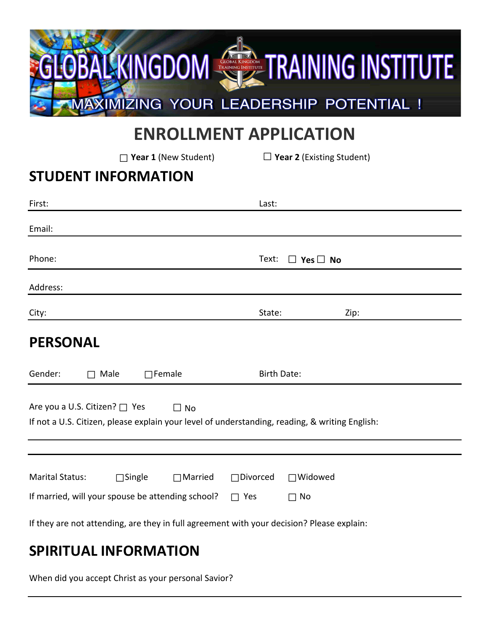

# **ENROLLMENT APPLICATION**

**□Year 1** (New Student) **□Year 2** (Existing Student)

#### **STUDENT INFORMATION**

| First:                                                                                                                          |               |                | Last:              |                      |      |
|---------------------------------------------------------------------------------------------------------------------------------|---------------|----------------|--------------------|----------------------|------|
| Email:                                                                                                                          |               |                |                    |                      |      |
| Phone:                                                                                                                          |               |                | Text:              | $\Box$ Yes $\Box$ No |      |
| Address:                                                                                                                        |               |                |                    |                      |      |
| City:                                                                                                                           |               |                | State:             |                      | Zip: |
| <b>PERSONAL</b>                                                                                                                 |               |                |                    |                      |      |
| Gender:<br>$\Box$ Male                                                                                                          | $\Box$ Female |                | <b>Birth Date:</b> |                      |      |
| Are you a U.S. Citizen? □ Yes<br>If not a U.S. Citizen, please explain your level of understanding, reading, & writing English: |               | $\Box$ No      |                    |                      |      |
|                                                                                                                                 |               |                |                    |                      |      |
| <b>Marital Status:</b>                                                                                                          | $\Box$ Single | $\Box$ Married | $\Box$ Divorced    | $\Box$ Widowed       |      |
| If married, will your spouse be attending school?                                                                               |               |                | $\Box$ Yes         | $\Box$ No            |      |
| If they are not attending, are they in full agreement with your decision? Please explain:                                       |               |                |                    |                      |      |
| CDIDITILAL INIFODRAATIONI                                                                                                       |               |                |                    |                      |      |

# **SPIRITUAL INFORMATION**

When did you accept Christ as your personal Savior?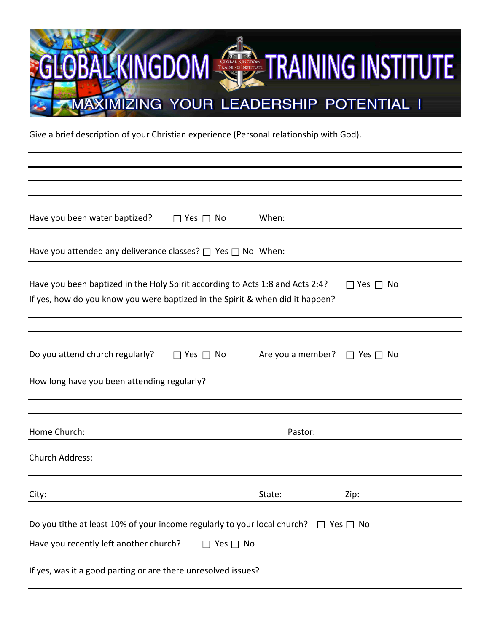

Give a brief description of your Christian experience (Personal relationship with God).

| Have you been water baptized?<br>When:<br>$\Box$ Yes $\Box$ No                                                                                                                                                                   |  |  |
|----------------------------------------------------------------------------------------------------------------------------------------------------------------------------------------------------------------------------------|--|--|
| Have you attended any deliverance classes? $\Box$ Yes $\Box$ No When:                                                                                                                                                            |  |  |
| Have you been baptized in the Holy Spirit according to Acts 1:8 and Acts 2:4?<br>$\Box$ Yes $\Box$ No<br>If yes, how do you know you were baptized in the Spirit & when did it happen?                                           |  |  |
|                                                                                                                                                                                                                                  |  |  |
| Do you attend church regularly?<br>Are you a member?<br>$\Box$ Yes $\Box$ No<br>$\Box$ Yes $\Box$ No<br>How long have you been attending regularly?                                                                              |  |  |
|                                                                                                                                                                                                                                  |  |  |
| Home Church:<br>Pastor:                                                                                                                                                                                                          |  |  |
| <b>Church Address:</b>                                                                                                                                                                                                           |  |  |
| City:<br>State:<br>Zip:                                                                                                                                                                                                          |  |  |
| Do you tithe at least 10% of your income regularly to your local church? $\Box$ Yes $\Box$ No<br>Have you recently left another church?<br>$\Box$ Yes $\Box$ No<br>If yes, was it a good parting or are there unresolved issues? |  |  |
|                                                                                                                                                                                                                                  |  |  |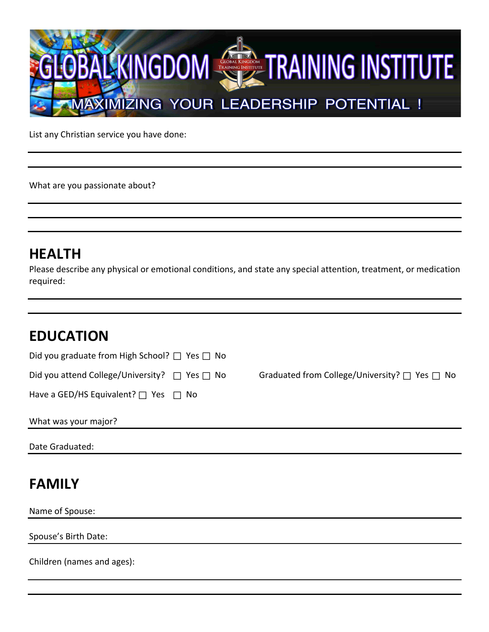

List any Christian service you have done:

What are you passionate about?

### **HEALTH**

Please describe any physical or emotional conditions, and state any special attention, treatment, or medication required:

## **EDUCATION**

| Did you graduate from High School? $\Box$ Yes $\Box$ No |                                                         |
|---------------------------------------------------------|---------------------------------------------------------|
| Did you attend College/University? $\Box$ Yes $\Box$ No | Graduated from College/University? $\Box$ Yes $\Box$ No |
| Have a GED/HS Equivalent? $\Box$ Yes $\Box$ No          |                                                         |
| What was your major?                                    |                                                         |
| Date Graduated:                                         |                                                         |
| <b>FAMILY</b>                                           |                                                         |
| Name of Spouse:                                         |                                                         |

Spouse's Birth Date:

Children (names and ages):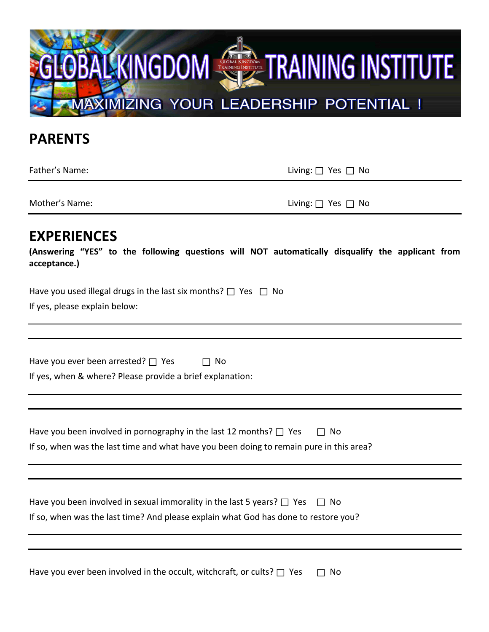

#### **PARENTS**

Father's Name: Living: **□** Yes **□** No

Mother's Name: Living: **□** Yes **□** No

#### **EXPERIENCES**

**(Answering "YES" to the following questions will NOT automatically disqualify the applicant from acceptance.)** 

| Have you used illegal drugs in the last six months? $\Box$ Yes $\Box$ No |  |
|--------------------------------------------------------------------------|--|
| If yes, please explain below:                                            |  |

| Have you ever been arrested? $\Box$ Yes | $\Box$ No |
|-----------------------------------------|-----------|
|                                         |           |

If yes, when & where? Please provide a brief explanation:

| Have you been involved in pornography in the last 12 months? $\Box$ Yes<br>$\Box$ No    |
|-----------------------------------------------------------------------------------------|
| If so, when was the last time and what have you been doing to remain pure in this area? |

| Have you been involved in sexual immorality in the last 5 years? $\Box$ Yes $\Box$ No |
|---------------------------------------------------------------------------------------|
| If so, when was the last time? And please explain what God has done to restore you?   |

Have you ever been involved in the occult, witchcraft, or cults? **□** Yes **□** No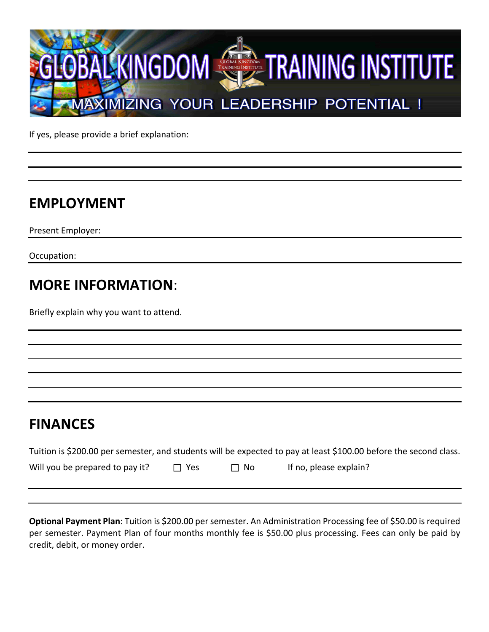

If yes, please provide a brief explanation:

### **EMPLOYMENT**

Present Employer:

Occupation:

#### **MORE INFORMATION**:

Briefly explain why you want to attend.

#### **FINANCES**

| Tuition is \$200.00 per semester, and students will be expected to pay at least \$100.00 before the second class. |              |           |                        |
|-------------------------------------------------------------------------------------------------------------------|--------------|-----------|------------------------|
| Will you be prepared to pay it?                                                                                   | $\sqcap$ Yes | $\Box$ No | If no, please explain? |

**Optional Payment Plan**: Tuition is \$200.00 per semester. An Administration Processing fee of \$50.00 is required per semester. Payment Plan of four months monthly fee is \$50.00 plus processing. Fees can only be paid by credit, debit, or money order.